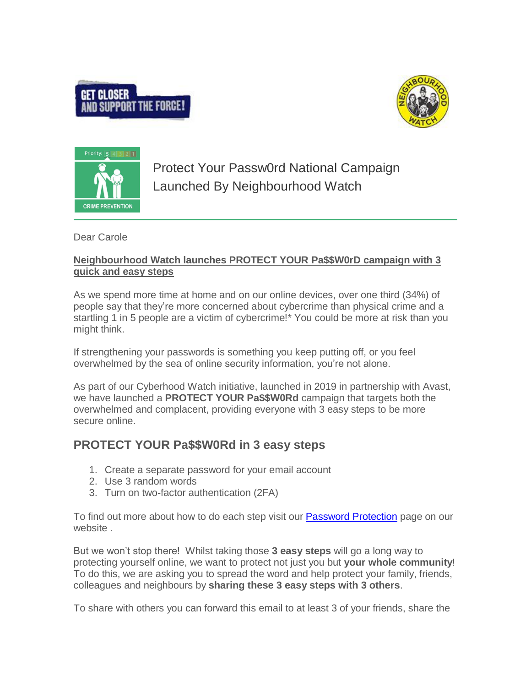





Protect Your Passw0rd National Campaign Launched By Neighbourhood Watch

Dear Carole

## **Neighbourhood Watch launches PROTECT YOUR Pa\$\$W0rD campaign with 3 quick and easy steps**

As we spend more time at home and on our online devices, over one third (34%) of people say that they're more concerned about cybercrime than physical crime and a startling 1 in 5 people are a victim of cybercrime!\* You could be more at risk than you might think.

If strengthening your passwords is something you keep putting off, or you feel overwhelmed by the sea of online security information, you're not alone.

As part of our Cyberhood Watch initiative, launched in 2019 in partnership with Avast, we have launched a **PROTECT YOUR Pa\$\$W0Rd** campaign that targets both the overwhelmed and complacent, providing everyone with 3 easy steps to be more secure online.

# **PROTECT YOUR Pa\$\$W0Rd in 3 easy steps**

- 1. Create a separate password for your email account
- 2. Use 3 random words
- 3. Turn on two-factor authentication (2FA)

To find out more about how to do each step visit our [Password Protection](https://www.ourwatch.org.uk/passwords) page on our website .

But we won't stop there! Whilst taking those **3 easy steps** will go a long way to protecting yourself online, we want to protect not just you but **your whole community**! To do this, we are asking you to spread the word and help protect your family, friends, colleagues and neighbours by **sharing these 3 easy steps with 3 others**.

To share with others you can forward this email to at least 3 of your friends, share the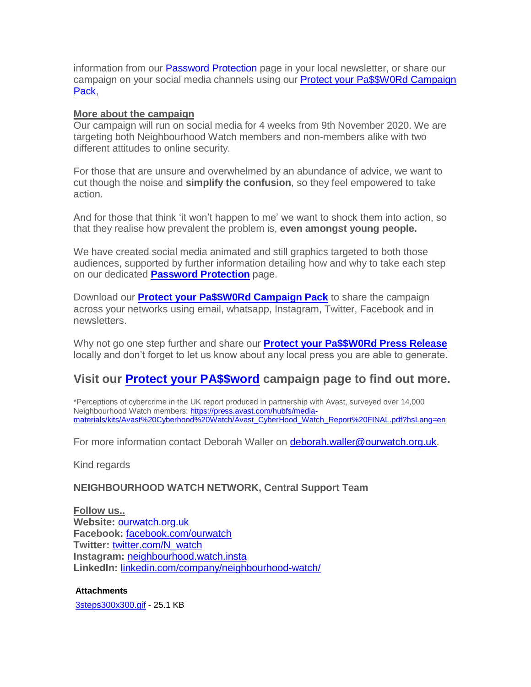information from our [Password Protection](https://www.ourwatch.org.uk/passwords) page in your local newsletter, or share our campaign on your social media channels using our [Protect your Pa\\$\\$W0Rd Campaign](https://www.ourwatch.org.uk/sites/default/files/documents/2020-11/NW%20Passwords%20Social%20Media%20Pack_2.pptx)  [Pack,](https://www.ourwatch.org.uk/sites/default/files/documents/2020-11/NW%20Passwords%20Social%20Media%20Pack_2.pptx)

#### **More about the campaign**

Our campaign will run on social media for 4 weeks from 9th November 2020. We are targeting both Neighbourhood Watch members and non-members alike with two different attitudes to online security.

For those that are unsure and overwhelmed by an abundance of advice, we want to cut though the noise and **simplify the confusion**, so they feel empowered to take action.

And for those that think 'it won't happen to me' we want to shock them into action, so that they realise how prevalent the problem is, **even amongst young people.**

We have created social media animated and still graphics targeted to both those audiences, supported by further information detailing how and why to take each step on our dedicated **[Password Protection](https://www.ourwatch.org.uk/passwords)** page.

Download our **[Protect your Pa\\$\\$W0Rd Campaign Pack](https://www.ourwatch.org.uk/sites/default/files/documents/2020-11/NW%20Passwords%20Social%20Media%20Pack_2.pptx)** to share the campaign across your networks using email, whatsapp, Instagram, Twitter, Facebook and in newsletters.

Why not go one step further and share our **[Protect your Pa\\$\\$W0Rd Press Release](https://www.ourwatch.org.uk/sites/default/files/documents/2020-11/NW%20Press%20Release%2005112020.pdf)** locally and don't forget to let us know about any local press you are able to generate.

# **Visit our [Protect your PA\\$\\$word](https://www.ourwatch.org.uk/get-involved/support-campaign/protect-your-paw0rd) campaign page to find out more.**

\*Perceptions of cybercrime in the UK report produced in partnership with Avast, surveyed over 14,000 Neighbourhood Watch members: [https://press.avast.com/hubfs/media](https://press.avast.com/hubfs/media-materials/kits/Avast%20Cyberhood%20Watch/Avast_CyberHood_Watch_Report%20FINAL.pdf?hsLang=en)[materials/kits/Avast%20Cyberhood%20Watch/Avast\\_CyberHood\\_Watch\\_Report%20FINAL.pdf?hsLang=en](https://press.avast.com/hubfs/media-materials/kits/Avast%20Cyberhood%20Watch/Avast_CyberHood_Watch_Report%20FINAL.pdf?hsLang=en)

For more information contact Deborah Waller on [deborah.waller@ourwatch.org.uk.](mailto:deborah.waller@ourwatch.org.uk?subject=Protect%20your%20Pa%24%24word%20campaign)

Kind regards

### **NEIGHBOURHOOD WATCH NETWORK, Central Support Team**

**Follow us.. Website:** [ourwatch.org.uk](http://www.ourwatch.org.uk/) **Facebook:** [facebook.com/ourwatch](http://facebook.com/ourwatch) **Twitter:** [twitter.com/N\\_watch](http://twitter.com/N_watch) **Instagram:** [neighbourhood.watch.insta](https://www.instagram.com/neighbourhood.watch.insta/) **LinkedIn:** [linkedin.com/company/neighbourhood-watch/](http://linkedin.com/company/neighbourhood-watch/)

#### **Attachments**

[3steps300x300.gif](https://assets.neighbourhoodalert.co.uk/Attachment/306552/348434/67578/67578_3steps300x300.gif) - 25.1 KB